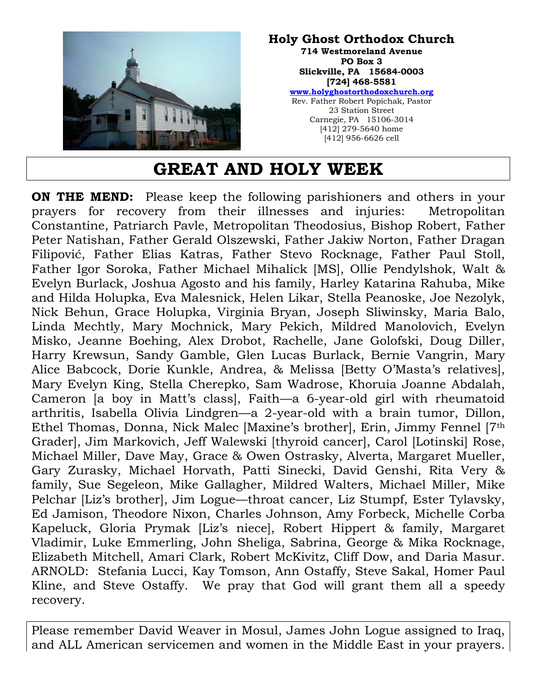

#### **Holy Ghost Orthodox Church 714 Westmoreland Avenue PO Box 3 Slickville, PA 15684-0003 [724] 468-5581 www.holyghostorthodoxchurch.org** Rev. Father Robert Popichak, Pastor

23 Station Street Carnegie, PA 15106-3014 [412] 279-5640 home [412] 956-6626 cell

# **GREAT AND HOLY WEEK**

**ON THE MEND:** Please keep the following parishioners and others in your prayers for recovery from their illnesses and injuries: Metropolitan Constantine, Patriarch Pavle, Metropolitan Theodosius, Bishop Robert, Father Peter Natishan, Father Gerald Olszewski, Father Jakiw Norton, Father Dragan Filipović, Father Elias Katras, Father Stevo Rocknage, Father Paul Stoll, Father Igor Soroka, Father Michael Mihalick [MS], Ollie Pendylshok, Walt & Evelyn Burlack, Joshua Agosto and his family, Harley Katarina Rahuba, Mike and Hilda Holupka, Eva Malesnick, Helen Likar, Stella Peanoske, Joe Nezolyk, Nick Behun, Grace Holupka, Virginia Bryan, Joseph Sliwinsky, Maria Balo, Linda Mechtly, Mary Mochnick, Mary Pekich, Mildred Manolovich, Evelyn Misko, Jeanne Boehing, Alex Drobot, Rachelle, Jane Golofski, Doug Diller, Harry Krewsun, Sandy Gamble, Glen Lucas Burlack, Bernie Vangrin, Mary Alice Babcock, Dorie Kunkle, Andrea, & Melissa [Betty O'Masta's relatives], Mary Evelyn King, Stella Cherepko, Sam Wadrose, Khoruia Joanne Abdalah, Cameron [a boy in Matt's class], Faith—a 6-year-old girl with rheumatoid arthritis, Isabella Olivia Lindgren—a 2-year-old with a brain tumor, Dillon, Ethel Thomas, Donna, Nick Malec [Maxine's brother], Erin, Jimmy Fennel [7th Grader], Jim Markovich, Jeff Walewski [thyroid cancer], Carol [Lotinski] Rose, Michael Miller, Dave May, Grace & Owen Ostrasky, Alverta, Margaret Mueller, Gary Zurasky, Michael Horvath, Patti Sinecki, David Genshi, Rita Very & family, Sue Segeleon, Mike Gallagher, Mildred Walters, Michael Miller, Mike Pelchar [Liz's brother], Jim Logue—throat cancer, Liz Stumpf, Ester Tylavsky, Ed Jamison, Theodore Nixon, Charles Johnson, Amy Forbeck, Michelle Corba Kapeluck, Gloria Prymak [Liz's niece], Robert Hippert & family, Margaret Vladimir, Luke Emmerling, John Sheliga, Sabrina, George & Mika Rocknage, Elizabeth Mitchell, Amari Clark, Robert McKivitz, Cliff Dow, and Daria Masur. ARNOLD: Stefania Lucci, Kay Tomson, Ann Ostaffy, Steve Sakal, Homer Paul Kline, and Steve Ostaffy. We pray that God will grant them all a speedy recovery.

Please remember David Weaver in Mosul, James John Logue assigned to Iraq, and ALL American servicemen and women in the Middle East in your prayers.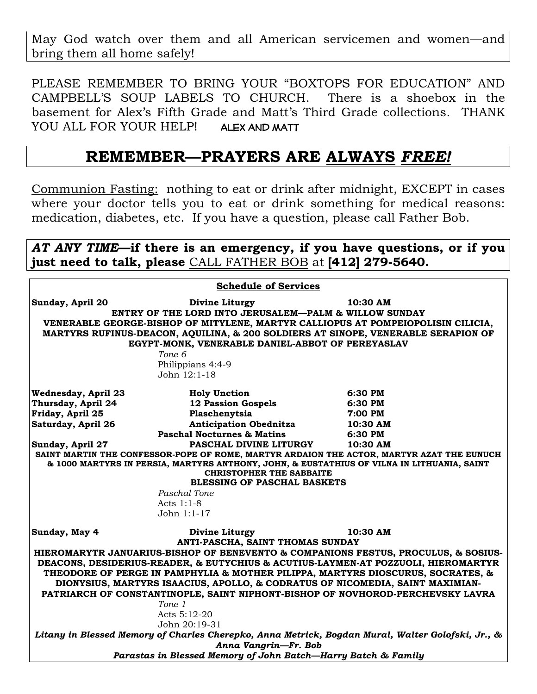May God watch over them and all American servicemen and women—and bring them all home safely!

PLEASE REMEMBER TO BRING YOUR "BOXTOPS FOR EDUCATION" AND CAMPBELL'S SOUP LABELS TO CHURCH. There is a shoebox in the basement for Alex's Fifth Grade and Matt's Third Grade collections. THANK YOU ALL FOR YOUR HELP! ALEX AND MATT

### **REMEMBER—PRAYERS ARE ALWAYS** *FREE!*

Communion Fasting: nothing to eat or drink after midnight, EXCEPT in cases where your doctor tells you to eat or drink something for medical reasons: medication, diabetes, etc. If you have a question, please call Father Bob.

#### *AT ANY TIME***—if there is an emergency, if you have questions, or if you just need to talk, please** CALL FATHER BOB at **[412] 279-5640.**

| <b>Schedule of Services</b>                                                                                                                                                                                                                                                                                                                                                                                                                                                                                                                                                                                                                                                              |                                                                                                                                                                                                                                                                         |                                                                                                                                                                                                                                                 |
|------------------------------------------------------------------------------------------------------------------------------------------------------------------------------------------------------------------------------------------------------------------------------------------------------------------------------------------------------------------------------------------------------------------------------------------------------------------------------------------------------------------------------------------------------------------------------------------------------------------------------------------------------------------------------------------|-------------------------------------------------------------------------------------------------------------------------------------------------------------------------------------------------------------------------------------------------------------------------|-------------------------------------------------------------------------------------------------------------------------------------------------------------------------------------------------------------------------------------------------|
| Sunday, April 20<br>10:30 AM<br>Divine Liturgy<br>ENTRY OF THE LORD INTO JERUSALEM—PALM & WILLOW SUNDAY<br>VENERABLE GEORGE-BISHOP OF MITYLENE, MARTYR CALLIOPUS AT POMPEIOPOLISIN CILICIA,<br>MARTYRS RUFINUS-DEACON, AQUILINA, & 200 SOLDIERS AT SINOPE, VENERABLE SERAPION OF<br>EGYPT-MONK, VENERABLE DANIEL-ABBOT OF PEREYASLAV<br>Tone 6<br>Philippians 4:4-9<br>John 12:1-18                                                                                                                                                                                                                                                                                                      |                                                                                                                                                                                                                                                                         |                                                                                                                                                                                                                                                 |
| <b>Wednesday, April 23</b><br>Thursday, April 24<br>Friday, April 25<br>Saturday, April 26<br>Sunday, April 27                                                                                                                                                                                                                                                                                                                                                                                                                                                                                                                                                                           | <b>Holy Unction</b><br><b>12 Passion Gospels</b><br>Plaschenytsia<br>Anticipation Obednitza 10:30 AM<br><b>Paschal Nocturnes &amp; Matins</b><br><b>PASCHAL DIVINE LITURGY</b><br><b>CHRISTOPHER THE SABBAITE</b><br><b>BLESSING OF PASCHAL BASKETS</b><br>Paschal Tone | 6:30 PM<br>6:30 PM<br>7:00 PM<br>6:30 PM<br>10:30 AM<br>SAINT MARTIN THE CONFESSOR-POPE OF ROME, MARTYR ARDAION THE ACTOR, MARTYR AZAT THE EUNUCH<br>& 1000 MARTYRS IN PERSIA, MARTYRS ANTHONY, JOHN, & EUSTATHIUS OF VILNA IN LITHUANIA, SAINT |
|                                                                                                                                                                                                                                                                                                                                                                                                                                                                                                                                                                                                                                                                                          | Acts 1:1-8<br>John 1:1-17                                                                                                                                                                                                                                               |                                                                                                                                                                                                                                                 |
| Sunday, May 4<br>10:30 AM<br>Divine Liturgy<br>ANTI-PASCHA, SAINT THOMAS SUNDAY<br>HIEROMARYTR JANUARIUS-BISHOP OF BENEVENTO & COMPANIONS FESTUS, PROCULUS, & SOSIUS-<br>DEACONS, DESIDERIUS-READER, & EUTYCHIUS & ACUTIUS-LAYMEN-AT POZZUOLI, HIEROMARTYR<br>THEODORE OF PERGE IN PAMPHYLIA & MOTHER PILIPPA, MARTYRS DIOSCURUS, SOCRATES, &<br>DIONYSIUS, MARTYRS ISAACIUS, APOLLO, & CODRATUS OF NICOMEDIA, SAINT MAXIMIAN-<br>PATRIARCH OF CONSTANTINOPLE, SAINT NIPHONT-BISHOP OF NOVHOROD-PERCHEVSKY LAVRA<br>Tone 1<br>Acts 5:12-20<br>John 20:19-31<br>Litany in Blessed Memory of Charles Cherepko, Anna Metrick, Bogdan Mural, Walter Golofski, Jr., &<br>Anna Vangrin-Fr. Bob |                                                                                                                                                                                                                                                                         |                                                                                                                                                                                                                                                 |
| Parastas in Blessed Memory of John Batch-Harry Batch & Family                                                                                                                                                                                                                                                                                                                                                                                                                                                                                                                                                                                                                            |                                                                                                                                                                                                                                                                         |                                                                                                                                                                                                                                                 |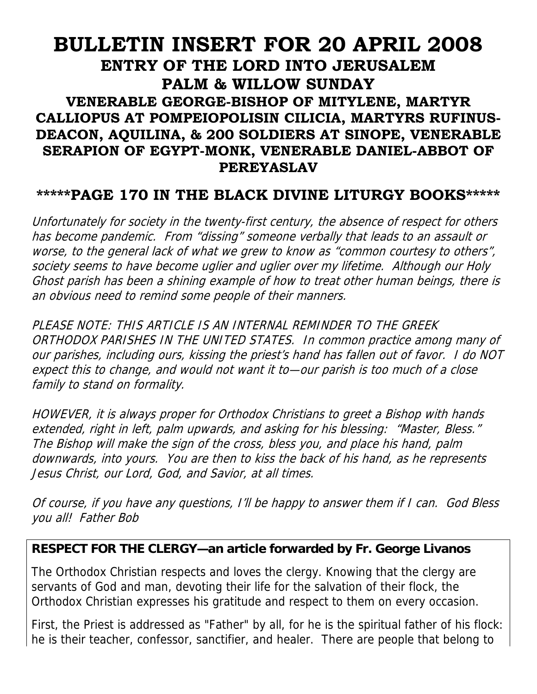## **BULLETIN INSERT FOR 20 APRIL 2008 ENTRY OF THE LORD INTO JERUSALEM PALM & WILLOW SUNDAY VENERABLE GEORGE-BISHOP OF MITYLENE, MARTYR CALLIOPUS AT POMPEIOPOLISIN CILICIA, MARTYRS RUFINUS-DEACON, AQUILINA, & 200 SOLDIERS AT SINOPE, VENERABLE SERAPION OF EGYPT-MONK, VENERABLE DANIEL-ABBOT OF PEREYASLAV**

### **\*\*\*\*\*PAGE 170 IN THE BLACK DIVINE LITURGY BOOKS\*\*\*\*\***

Unfortunately for society in the twenty-first century, the absence of respect for others has become pandemic. From "dissing" someone verbally that leads to an assault or worse, to the general lack of what we grew to know as "common courtesy to others", society seems to have become uglier and uglier over my lifetime. Although our Holy Ghost parish has been a shining example of how to treat other human beings, there is an obvious need to remind some people of their manners.

PLEASE NOTE: THIS ARTICLE IS AN INTERNAL REMINDER TO THE GREEK ORTHODOX PARISHES IN THE UNITED STATES. In common practice among many of our parishes, including ours, kissing the priest's hand has fallen out of favor. I do NOT expect this to change, and would not want it to—our parish is too much of a close family to stand on formality.

HOWEVER, it is always proper for Orthodox Christians to greet a Bishop with hands extended, right in left, palm upwards, and asking for his blessing: "Master, Bless." The Bishop will make the sign of the cross, bless you, and place his hand, palm downwards, into yours. You are then to kiss the back of his hand, as he represents Jesus Christ, our Lord, God, and Savior, at all times.

Of course, if you have any questions, I'll be happy to answer them if I can. God Bless you all! Father Bob

#### **RESPECT FOR THE CLERGY—an article forwarded by Fr. George Livanos**

The Orthodox Christian respects and loves the clergy. Knowing that the clergy are servants of God and man, devoting their life for the salvation of their flock, the Orthodox Christian expresses his gratitude and respect to them on every occasion.

First, the Priest is addressed as "Father" by all, for he is the spiritual father of his flock: he is their teacher, confessor, sanctifier, and healer. There are people that belong to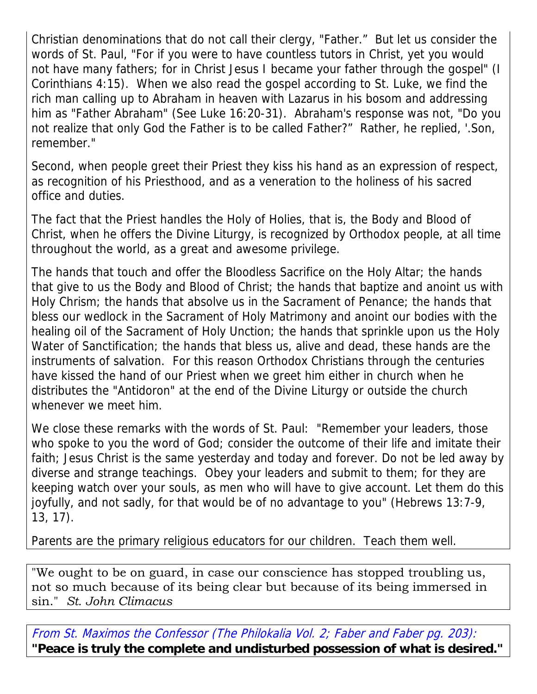Christian denominations that do not call their clergy, "Father." But let us consider the words of St. Paul, "For if you were to have countless tutors in Christ, yet you would not have many fathers; for in Christ Jesus I became your father through the gospel" (I Corinthians 4:15). When we also read the gospel according to St. Luke, we find the rich man calling up to Abraham in heaven with Lazarus in his bosom and addressing him as "Father Abraham" (See Luke 16:20-31). Abraham's response was not, "Do you not realize that only God the Father is to be called Father?" Rather, he replied, '.Son, remember."

Second, when people greet their Priest they kiss his hand as an expression of respect, as recognition of his Priesthood, and as a veneration to the holiness of his sacred office and duties.

The fact that the Priest handles the Holy of Holies, that is, the Body and Blood of Christ, when he offers the Divine Liturgy, is recognized by Orthodox people, at all time throughout the world, as a great and awesome privilege.

The hands that touch and offer the Bloodless Sacrifice on the Holy Altar; the hands that give to us the Body and Blood of Christ; the hands that baptize and anoint us with Holy Chrism; the hands that absolve us in the Sacrament of Penance; the hands that bless our wedlock in the Sacrament of Holy Matrimony and anoint our bodies with the healing oil of the Sacrament of Holy Unction; the hands that sprinkle upon us the Holy Water of Sanctification; the hands that bless us, alive and dead, these hands are the instruments of salvation. For this reason Orthodox Christians through the centuries have kissed the hand of our Priest when we greet him either in church when he distributes the "Antidoron" at the end of the Divine Liturgy or outside the church whenever we meet him.

We close these remarks with the words of St. Paul: "Remember your leaders, those who spoke to you the word of God; consider the outcome of their life and imitate their faith; Jesus Christ is the same yesterday and today and forever. Do not be led away by diverse and strange teachings. Obey your leaders and submit to them; for they are keeping watch over your souls, as men who will have to give account. Let them do this joyfully, and not sadly, for that would be of no advantage to you" (Hebrews 13:7-9, 13, 17).

Parents are the primary religious educators for our children. Teach them well.

"We ought to be on guard, in case our conscience has stopped troubling us, not so much because of its being clear but because of its being immersed in sin." *St. John Climacus*

From St. Maximos the Confessor (The Philokalia Vol. 2; Faber and Faber pg. 203): **"Peace is truly the complete and undisturbed possession of what is desired."**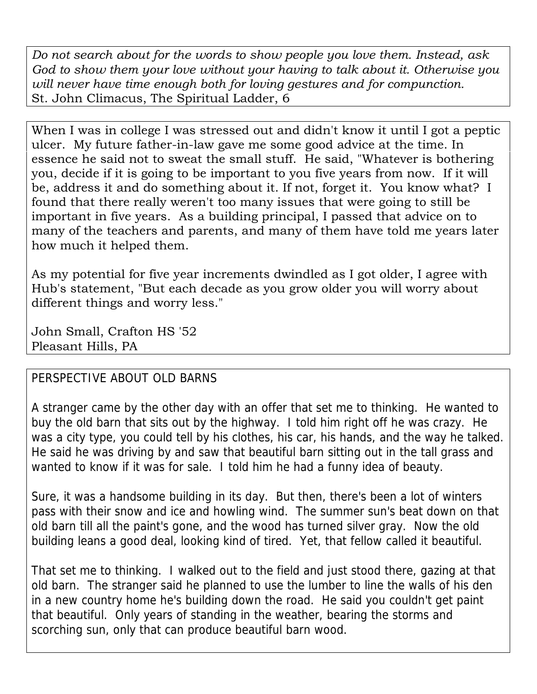*Do not search about for the words to show people you love them. Instead, ask God to show them your love without your having to talk about it. Otherwise you will never have time enough both for loving gestures and for compunction.*  St. John Climacus, The Spiritual Ladder, 6

When I was in college I was stressed out and didn't know it until I got a peptic ulcer. My future father-in-law gave me some good advice at the time. In essence he said not to sweat the small stuff. He said, "Whatever is bothering you, decide if it is going to be important to you five years from now. If it will be, address it and do something about it. If not, forget it. You know what? I found that there really weren't too many issues that were going to still be important in five years. As a building principal, I passed that advice on to many of the teachers and parents, and many of them have told me years later how much it helped them.

As my potential for five year increments dwindled as I got older, I agree with Hub's statement, "But each decade as you grow older you will worry about different things and worry less."

John Small, Crafton HS '52 Pleasant Hills, PA

### PERSPECTIVE ABOUT OLD BARNS

A stranger came by the other day with an offer that set me to thinking. He wanted to buy the old barn that sits out by the highway. I told him right off he was crazy. He was a city type, you could tell by his clothes, his car, his hands, and the way he talked. He said he was driving by and saw that beautiful barn sitting out in the tall grass and wanted to know if it was for sale. I told him he had a funny idea of beauty.

Sure, it was a handsome building in its day. But then, there's been a lot of winters pass with their snow and ice and howling wind. The summer sun's beat down on that old barn till all the paint's gone, and the wood has turned silver gray. Now the old building leans a good deal, looking kind of tired. Yet, that fellow called it beautiful.

That set me to thinking. I walked out to the field and just stood there, gazing at that old barn. The stranger said he planned to use the lumber to line the walls of his den in a new country home he's building down the road. He said you couldn't get paint that beautiful. Only years of standing in the weather, bearing the storms and scorching sun, only that can produce beautiful barn wood.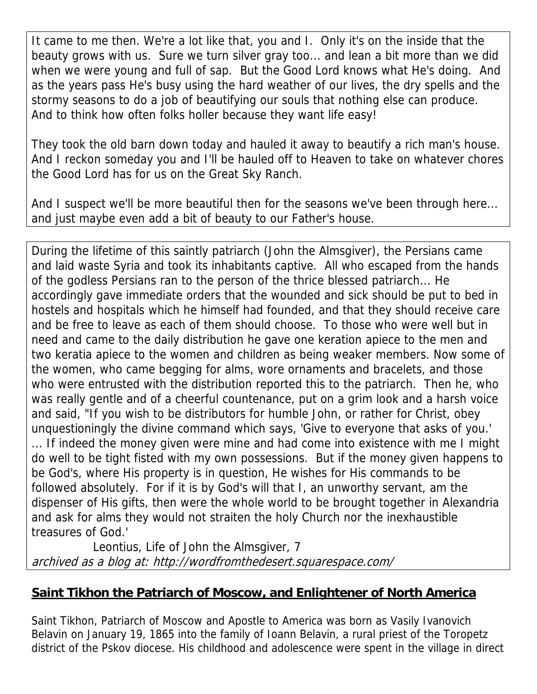It came to me then. We're a lot like that, you and I. Only it's on the inside that the beauty grows with us. Sure we turn silver gray too... and lean a bit more than we did when we were young and full of sap. But the Good Lord knows what He's doing. And as the years pass He's busy using the hard weather of our lives, the dry spells and the stormy seasons to do a job of beautifying our souls that nothing else can produce. And to think how often folks holler because they want life easy!

They took the old barn down today and hauled it away to beautify a rich man's house. And I reckon someday you and I'll be hauled off to Heaven to take on whatever chores the Good Lord has for us on the Great Sky Ranch.

And I suspect we'll be more beautiful then for the seasons we've been through here... and just maybe even add a bit of beauty to our Father's house.

During the lifetime of this saintly patriarch (John the Almsgiver), the Persians came and laid waste Syria and took its inhabitants captive. All who escaped from the hands of the godless Persians ran to the person of the thrice blessed patriarch... He accordingly gave immediate orders that the wounded and sick should be put to bed in hostels and hospitals which he himself had founded, and that they should receive care and be free to leave as each of them should choose. To those who were well but in need and came to the daily distribution he gave one keration apiece to the men and two keratia apiece to the women and children as being weaker members. Now some of the women, who came begging for alms, wore ornaments and bracelets, and those who were entrusted with the distribution reported this to the patriarch. Then he, who was really gentle and of a cheerful countenance, put on a grim look and a harsh voice and said, "If you wish to be distributors for humble John, or rather for Christ, obey unquestioningly the divine command which says, 'Give to everyone that asks of you.' ... If indeed the money given were mine and had come into existence with me I might do well to be tight fisted with my own possessions. But if the money given happens to be God's, where His property is in question, He wishes for His commands to be followed absolutely. For if it is by God's will that I, an unworthy servant, am the dispenser of His gifts, then were the whole world to be brought together in Alexandria and ask for alms they would not straiten the holy Church nor the inexhaustible treasures of God.'

 Leontius, Life of John the Almsgiver, 7 archived as a blog at: http://wordfromthedesert.squarespace.com/

### **Saint Tikhon the Patriarch of Moscow, and Enlightener of North America**

Saint Tikhon, Patriarch of Moscow and Apostle to America was born as Vasily Ivanovich Belavin on January 19, 1865 into the family of Ioann Belavin, a rural priest of the Toropetz district of the Pskov diocese. His childhood and adolescence were spent in the village in direct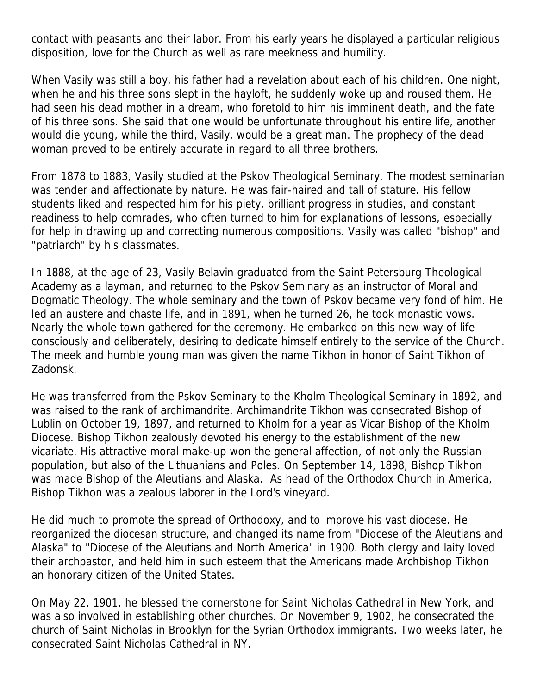contact with peasants and their labor. From his early years he displayed a particular religious disposition, love for the Church as well as rare meekness and humility.

When Vasily was still a boy, his father had a revelation about each of his children. One night, when he and his three sons slept in the hayloft, he suddenly woke up and roused them. He had seen his dead mother in a dream, who foretold to him his imminent death, and the fate of his three sons. She said that one would be unfortunate throughout his entire life, another would die young, while the third, Vasily, would be a great man. The prophecy of the dead woman proved to be entirely accurate in regard to all three brothers.

From 1878 to 1883, Vasily studied at the Pskov Theological Seminary. The modest seminarian was tender and affectionate by nature. He was fair-haired and tall of stature. His fellow students liked and respected him for his piety, brilliant progress in studies, and constant readiness to help comrades, who often turned to him for explanations of lessons, especially for help in drawing up and correcting numerous compositions. Vasily was called "bishop" and "patriarch" by his classmates.

In 1888, at the age of 23, Vasily Belavin graduated from the Saint Petersburg Theological Academy as a layman, and returned to the Pskov Seminary as an instructor of Moral and Dogmatic Theology. The whole seminary and the town of Pskov became very fond of him. He led an austere and chaste life, and in 1891, when he turned 26, he took monastic vows. Nearly the whole town gathered for the ceremony. He embarked on this new way of life consciously and deliberately, desiring to dedicate himself entirely to the service of the Church. The meek and humble young man was given the name Tikhon in honor of Saint Tikhon of Zadonsk.

He was transferred from the Pskov Seminary to the Kholm Theological Seminary in 1892, and was raised to the rank of archimandrite. Archimandrite Tikhon was consecrated Bishop of Lublin on October 19, 1897, and returned to Kholm for a year as Vicar Bishop of the Kholm Diocese. Bishop Tikhon zealously devoted his energy to the establishment of the new vicariate. His attractive moral make-up won the general affection, of not only the Russian population, but also of the Lithuanians and Poles. On September 14, 1898, Bishop Tikhon was made Bishop of the Aleutians and Alaska. As head of the Orthodox Church in America, Bishop Tikhon was a zealous laborer in the Lord's vineyard.

He did much to promote the spread of Orthodoxy, and to improve his vast diocese. He reorganized the diocesan structure, and changed its name from "Diocese of the Aleutians and Alaska" to "Diocese of the Aleutians and North America" in 1900. Both clergy and laity loved their archpastor, and held him in such esteem that the Americans made Archbishop Tikhon an honorary citizen of the United States.

On May 22, 1901, he blessed the cornerstone for Saint Nicholas Cathedral in New York, and was also involved in establishing other churches. On November 9, 1902, he consecrated the church of Saint Nicholas in Brooklyn for the Syrian Orthodox immigrants. Two weeks later, he consecrated Saint Nicholas Cathedral in NY.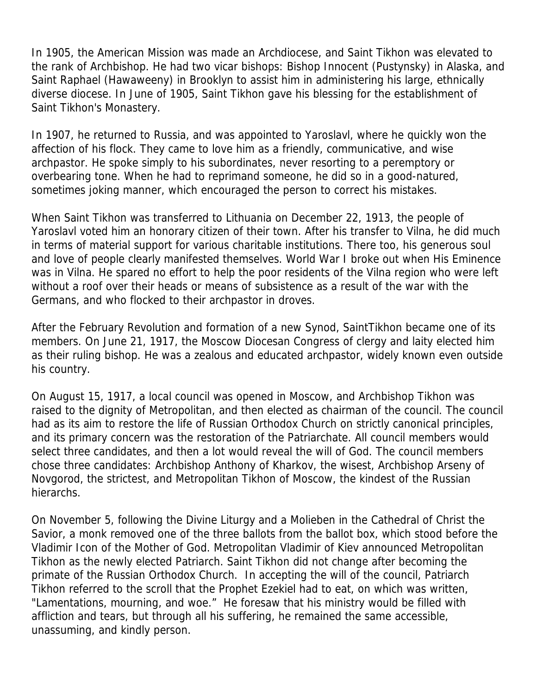In 1905, the American Mission was made an Archdiocese, and Saint Tikhon was elevated to the rank of Archbishop. He had two vicar bishops: Bishop Innocent (Pustynsky) in Alaska, and Saint Raphael (Hawaweeny) in Brooklyn to assist him in administering his large, ethnically diverse diocese. In June of 1905, Saint Tikhon gave his blessing for the establishment of Saint Tikhon's Monastery.

In 1907, he returned to Russia, and was appointed to Yaroslavl, where he quickly won the affection of his flock. They came to love him as a friendly, communicative, and wise archpastor. He spoke simply to his subordinates, never resorting to a peremptory or overbearing tone. When he had to reprimand someone, he did so in a good-natured, sometimes joking manner, which encouraged the person to correct his mistakes.

When Saint Tikhon was transferred to Lithuania on December 22, 1913, the people of Yaroslavl voted him an honorary citizen of their town. After his transfer to Vilna, he did much in terms of material support for various charitable institutions. There too, his generous soul and love of people clearly manifested themselves. World War I broke out when His Eminence was in Vilna. He spared no effort to help the poor residents of the Vilna region who were left without a roof over their heads or means of subsistence as a result of the war with the Germans, and who flocked to their archpastor in droves.

After the February Revolution and formation of a new Synod, SaintTikhon became one of its members. On June 21, 1917, the Moscow Diocesan Congress of clergy and laity elected him as their ruling bishop. He was a zealous and educated archpastor, widely known even outside his country.

On August 15, 1917, a local council was opened in Moscow, and Archbishop Tikhon was raised to the dignity of Metropolitan, and then elected as chairman of the council. The council had as its aim to restore the life of Russian Orthodox Church on strictly canonical principles, and its primary concern was the restoration of the Patriarchate. All council members would select three candidates, and then a lot would reveal the will of God. The council members chose three candidates: Archbishop Anthony of Kharkov, the wisest, Archbishop Arseny of Novgorod, the strictest, and Metropolitan Tikhon of Moscow, the kindest of the Russian hierarchs.

On November 5, following the Divine Liturgy and a Molieben in the Cathedral of Christ the Savior, a monk removed one of the three ballots from the ballot box, which stood before the Vladimir Icon of the Mother of God. Metropolitan Vladimir of Kiev announced Metropolitan Tikhon as the newly elected Patriarch. Saint Tikhon did not change after becoming the primate of the Russian Orthodox Church. In accepting the will of the council, Patriarch Tikhon referred to the scroll that the Prophet Ezekiel had to eat, on which was written, "Lamentations, mourning, and woe." He foresaw that his ministry would be filled with affliction and tears, but through all his suffering, he remained the same accessible, unassuming, and kindly person.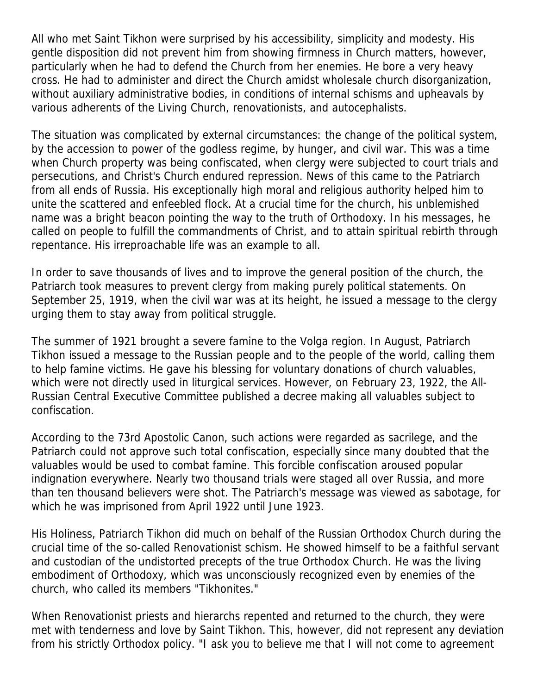All who met Saint Tikhon were surprised by his accessibility, simplicity and modesty. His gentle disposition did not prevent him from showing firmness in Church matters, however, particularly when he had to defend the Church from her enemies. He bore a very heavy cross. He had to administer and direct the Church amidst wholesale church disorganization, without auxiliary administrative bodies, in conditions of internal schisms and upheavals by various adherents of the Living Church, renovationists, and autocephalists.

The situation was complicated by external circumstances: the change of the political system, by the accession to power of the godless regime, by hunger, and civil war. This was a time when Church property was being confiscated, when clergy were subjected to court trials and persecutions, and Christ's Church endured repression. News of this came to the Patriarch from all ends of Russia. His exceptionally high moral and religious authority helped him to unite the scattered and enfeebled flock. At a crucial time for the church, his unblemished name was a bright beacon pointing the way to the truth of Orthodoxy. In his messages, he called on people to fulfill the commandments of Christ, and to attain spiritual rebirth through repentance. His irreproachable life was an example to all.

In order to save thousands of lives and to improve the general position of the church, the Patriarch took measures to prevent clergy from making purely political statements. On September 25, 1919, when the civil war was at its height, he issued a message to the clergy urging them to stay away from political struggle.

The summer of 1921 brought a severe famine to the Volga region. In August, Patriarch Tikhon issued a message to the Russian people and to the people of the world, calling them to help famine victims. He gave his blessing for voluntary donations of church valuables, which were not directly used in liturgical services. However, on February 23, 1922, the All-Russian Central Executive Committee published a decree making all valuables subject to confiscation.

According to the 73rd Apostolic Canon, such actions were regarded as sacrilege, and the Patriarch could not approve such total confiscation, especially since many doubted that the valuables would be used to combat famine. This forcible confiscation aroused popular indignation everywhere. Nearly two thousand trials were staged all over Russia, and more than ten thousand believers were shot. The Patriarch's message was viewed as sabotage, for which he was imprisoned from April 1922 until June 1923.

His Holiness, Patriarch Tikhon did much on behalf of the Russian Orthodox Church during the crucial time of the so-called Renovationist schism. He showed himself to be a faithful servant and custodian of the undistorted precepts of the true Orthodox Church. He was the living embodiment of Orthodoxy, which was unconsciously recognized even by enemies of the church, who called its members "Tikhonites."

When Renovationist priests and hierarchs repented and returned to the church, they were met with tenderness and love by Saint Tikhon. This, however, did not represent any deviation from his strictly Orthodox policy. "I ask you to believe me that I will not come to agreement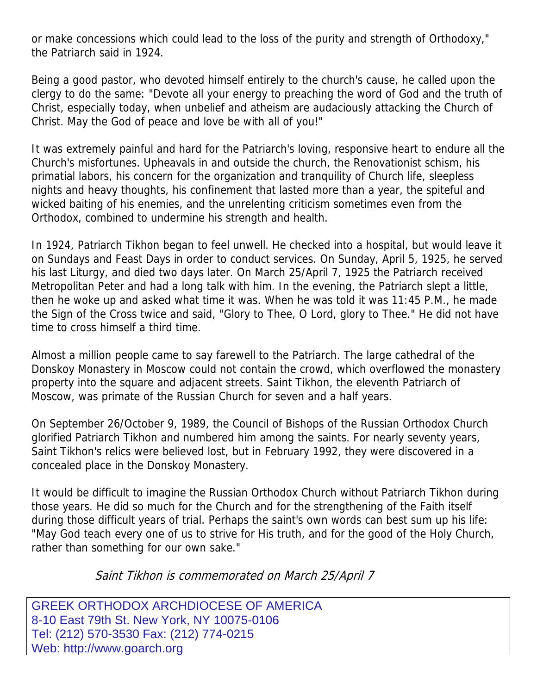or make concessions which could lead to the loss of the purity and strength of Orthodoxy," the Patriarch said in 1924.

Being a good pastor, who devoted himself entirely to the church's cause, he called upon the clergy to do the same: "Devote all your energy to preaching the word of God and the truth of Christ, especially today, when unbelief and atheism are audaciously attacking the Church of Christ. May the God of peace and love be with all of you!"

It was extremely painful and hard for the Patriarch's loving, responsive heart to endure all the Church's misfortunes. Upheavals in and outside the church, the Renovationist schism, his primatial labors, his concern for the organization and tranquility of Church life, sleepless nights and heavy thoughts, his confinement that lasted more than a year, the spiteful and wicked baiting of his enemies, and the unrelenting criticism sometimes even from the Orthodox, combined to undermine his strength and health.

In 1924, Patriarch Tikhon began to feel unwell. He checked into a hospital, but would leave it on Sundays and Feast Days in order to conduct services. On Sunday, April 5, 1925, he served his last Liturgy, and died two days later. On March 25/April 7, 1925 the Patriarch received Metropolitan Peter and had a long talk with him. In the evening, the Patriarch slept a little, then he woke up and asked what time it was. When he was told it was 11:45 P.M., he made the Sign of the Cross twice and said, "Glory to Thee, O Lord, glory to Thee." He did not have time to cross himself a third time.

Almost a million people came to say farewell to the Patriarch. The large cathedral of the Donskoy Monastery in Moscow could not contain the crowd, which overflowed the monastery property into the square and adjacent streets. Saint Tikhon, the eleventh Patriarch of Moscow, was primate of the Russian Church for seven and a half years.

On September 26/October 9, 1989, the Council of Bishops of the Russian Orthodox Church glorified Patriarch Tikhon and numbered him among the saints. For nearly seventy years, Saint Tikhon's relics were believed lost, but in February 1992, they were discovered in a concealed place in the Donskoy Monastery.

It would be difficult to imagine the Russian Orthodox Church without Patriarch Tikhon during those years. He did so much for the Church and for the strengthening of the Faith itself during those difficult years of trial. Perhaps the saint's own words can best sum up his life: "May God teach every one of us to strive for His truth, and for the good of the Holy Church, rather than something for our own sake."

Saint Tikhon is commemorated on March 25/April 7

GREEK ORTHODOX ARCHDIOCESE OF AMERICA 8-10 East 79th St. New York, NY 10075-0106 Tel: (212) 570-3530 Fax: (212) 774-0215 Web: http://www.goarch.org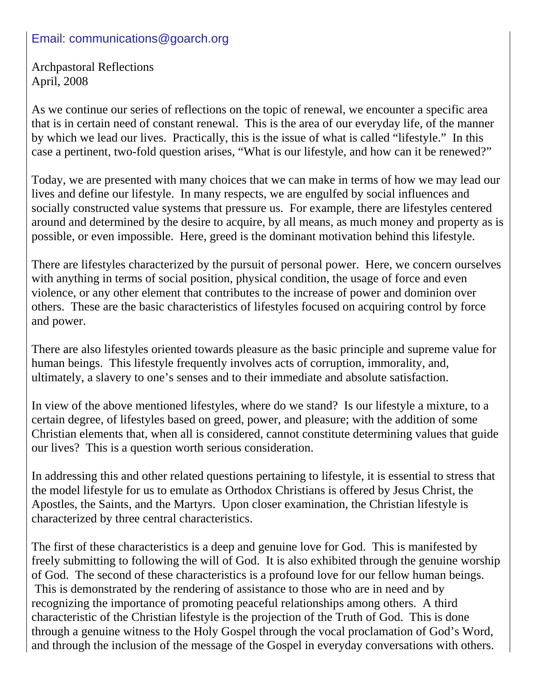#### Email: communications@goarch.org

Archpastoral Reflections April, 2008

As we continue our series of reflections on the topic of renewal, we encounter a specific area that is in certain need of constant renewal. This is the area of our everyday life, of the manner by which we lead our lives. Practically, this is the issue of what is called "lifestyle." In this case a pertinent, two-fold question arises, "What is our lifestyle, and how can it be renewed?"

Today, we are presented with many choices that we can make in terms of how we may lead our lives and define our lifestyle. In many respects, we are engulfed by social influences and socially constructed value systems that pressure us. For example, there are lifestyles centered around and determined by the desire to acquire, by all means, as much money and property as is possible, or even impossible. Here, greed is the dominant motivation behind this lifestyle.

There are lifestyles characterized by the pursuit of personal power. Here, we concern ourselves with anything in terms of social position, physical condition, the usage of force and even violence, or any other element that contributes to the increase of power and dominion over others. These are the basic characteristics of lifestyles focused on acquiring control by force and power.

There are also lifestyles oriented towards pleasure as the basic principle and supreme value for human beings. This lifestyle frequently involves acts of corruption, immorality, and, ultimately, a slavery to one's senses and to their immediate and absolute satisfaction.

In view of the above mentioned lifestyles, where do we stand? Is our lifestyle a mixture, to a certain degree, of lifestyles based on greed, power, and pleasure; with the addition of some Christian elements that, when all is considered, cannot constitute determining values that guide our lives? This is a question worth serious consideration.

In addressing this and other related questions pertaining to lifestyle, it is essential to stress that the model lifestyle for us to emulate as Orthodox Christians is offered by Jesus Christ, the Apostles, the Saints, and the Martyrs. Upon closer examination, the Christian lifestyle is characterized by three central characteristics.

The first of these characteristics is a deep and genuine love for God. This is manifested by freely submitting to following the will of God. It is also exhibited through the genuine worship of God. The second of these characteristics is a profound love for our fellow human beings. This is demonstrated by the rendering of assistance to those who are in need and by recognizing the importance of promoting peaceful relationships among others. A third characteristic of the Christian lifestyle is the projection of the Truth of God. This is done through a genuine witness to the Holy Gospel through the vocal proclamation of God's Word, and through the inclusion of the message of the Gospel in everyday conversations with others.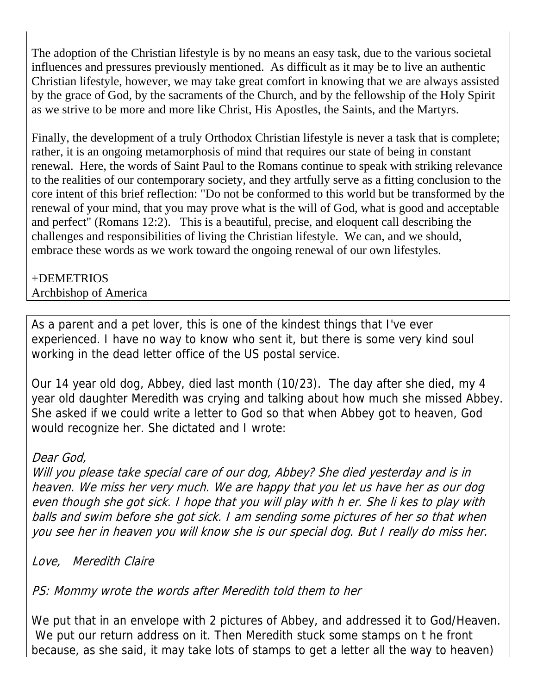The adoption of the Christian lifestyle is by no means an easy task, due to the various societal influences and pressures previously mentioned. As difficult as it may be to live an authentic Christian lifestyle, however, we may take great comfort in knowing that we are always assisted by the grace of God, by the sacraments of the Church, and by the fellowship of the Holy Spirit as we strive to be more and more like Christ, His Apostles, the Saints, and the Martyrs.

Finally, the development of a truly Orthodox Christian lifestyle is never a task that is complete; rather, it is an ongoing metamorphosis of mind that requires our state of being in constant renewal. Here, the words of Saint Paul to the Romans continue to speak with striking relevance to the realities of our contemporary society, and they artfully serve as a fitting conclusion to the core intent of this brief reflection: "Do not be conformed to this world but be transformed by the renewal of your mind, that you may prove what is the will of God, what is good and acceptable and perfect" (Romans 12:2). This is a beautiful, precise, and eloquent call describing the challenges and responsibilities of living the Christian lifestyle. We can, and we should, embrace these words as we work toward the ongoing renewal of our own lifestyles.

#### +DEMETRIOS Archbishop of America

As a parent and a pet lover, this is one of the kindest things that I've ever experienced. I have no way to know who sent it, but there is some very kind soul working in the dead letter office of the US postal service.

Our 14 year old dog, Abbey, died last month (10/23). The day after she died, my 4 year old daughter Meredith was crying and talking about how much she missed Abbey. She asked if we could write a letter to God so that when Abbey got to heaven, God would recognize her. She dictated and I wrote:

### Dear God,

Will you please take special care of our dog, Abbey? She died yesterday and is in heaven. We miss her very much. We are happy that you let us have her as our dog even though she got sick. I hope that you will play with h er. She li kes to play with balls and swim before she got sick. I am sending some pictures of her so that when you see her in heaven you will know she is our special dog. But I really do miss her.

Love, Meredith Claire

PS: Mommy wrote the words after Meredith told them to her

We put that in an envelope with 2 pictures of Abbey, and addressed it to God/Heaven. We put our return address on it. Then Meredith stuck some stamps on t he front because, as she said, it may take lots of stamps to get a letter all the way to heaven)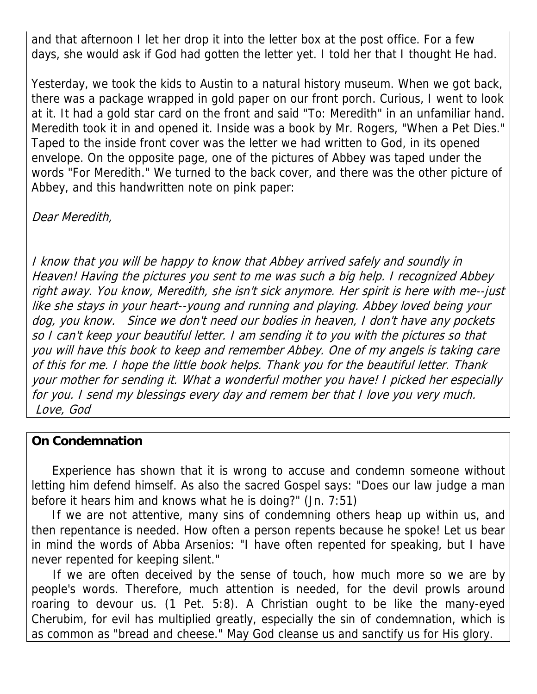and that afternoon I let her drop it into the letter box at the post office. For a few days, she would ask if God had gotten the letter yet. I told her that I thought He had.

Yesterday, we took the kids to Austin to a natural history museum. When we got back, there was a package wrapped in gold paper on our front porch. Curious, I went to look at it. It had a gold star card on the front and said "To: Meredith" in an unfamiliar hand. Meredith took it in and opened it. Inside was a book by Mr. Rogers, "When a Pet Dies." Taped to the inside front cover was the letter we had written to God, in its opened envelope. On the opposite page, one of the pictures of Abbey was taped under the words "For Meredith." We turned to the back cover, and there was the other picture of Abbey, and this handwritten note on pink paper:

Dear Meredith,

I know that you will be happy to know that Abbey arrived safely and soundly in Heaven! Having the pictures you sent to me was such a big help. I recognized Abbey right away. You know, Meredith, she isn't sick anymore. Her spirit is here with me--just like she stays in your heart--young and running and playing. Abbey loved being your dog, you know. Since we don't need our bodies in heaven, I don't have any pockets so I can't keep your beautiful letter. I am sending it to you with the pictures so that you will have this book to keep and remember Abbey. One of my angels is taking care of this for me. I hope the little book helps. Thank you for the beautiful letter. Thank your mother for sending it. What a wonderful mother you have! I picked her especially for you. I send my blessings every day and remem ber that I love you very much. Love, God

#### **On Condemnation**

 Experience has shown that it is wrong to accuse and condemn someone without letting him defend himself. As also the sacred Gospel says: "Does our law judge a man before it hears him and knows what he is doing?" (Jn. 7:51)

 If we are not attentive, many sins of condemning others heap up within us, and then repentance is needed. How often a person repents because he spoke! Let us bear in mind the words of Abba Arsenios: "I have often repented for speaking, but I have never repented for keeping silent."

 If we are often deceived by the sense of touch, how much more so we are by people's words. Therefore, much attention is needed, for the devil prowls around roaring to devour us. (1 Pet. 5:8). A Christian ought to be like the many-eyed Cherubim, for evil has multiplied greatly, especially the sin of condemnation, which is as common as "bread and cheese." May God cleanse us and sanctify us for His glory.